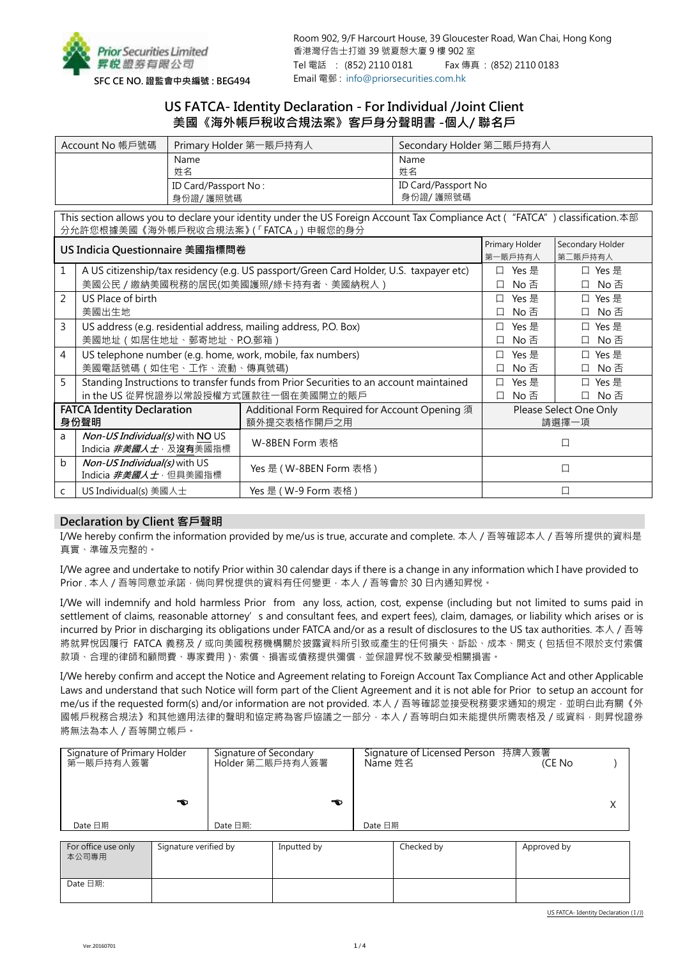

# **US FATCA- Identity Declaration - For Individual /Joint Client 美國《海外帳戶稅收合規法案》客戶身分聲明書 -個人/ 聯名戶**

| Account No 帳戶號碼 | Primary Holder 第一賬戶持有人 | Secondary Holder 第二賬戶持有人 |
|-----------------|------------------------|--------------------------|
|                 | Name                   | Name                     |
|                 | 姓名                     | 姓名                       |
|                 | ID Card/Passport No:   | ID Card/Passport No      |
|                 | 身份證/ 護照號碼              | 身份證/ 護照號碼                |

This section allows you to declare your identity under the US Foreign Account Tax Compliance Act ("FATCA") classification.本部 分允許您根據美國《海外帳戶稅收合規法案》(「FATCA」)申報您的身分

|                                           | US Indicia Questionnaire 美國指標問卷                                                        | Primary Holder                                                | Secondary Holder                |  |  |
|-------------------------------------------|----------------------------------------------------------------------------------------|---------------------------------------------------------------|---------------------------------|--|--|
|                                           |                                                                                        | 第一賬戶持有人                                                       | 第二賬戶持有人                         |  |  |
| 1                                         | A US citizenship/tax residency (e.g. US passport/Green Card Holder, U.S. taxpayer etc) | Yes 是<br>П                                                    | Yes 是                           |  |  |
|                                           | 美國公民 / 繳納美國稅務的居民(如美國護照/綠卡持有者、美國納稅人)                                                    | No 否<br>□                                                     | No 否                            |  |  |
| $\mathcal{P}$                             | US Place of birth                                                                      | Yes 是<br>$\perp$                                              | □ Yes 是                         |  |  |
|                                           | 美國出生地                                                                                  | No 否                                                          | No 否                            |  |  |
| 3                                         | US address (e.g. residential address, mailing address, P.O. Box)                       | Yes 是                                                         | Yes 是<br>$\Box$                 |  |  |
|                                           | 美國地址 (如居住地址、郵寄地址、P.O.郵箱)                                                               | No 否                                                          | No 否                            |  |  |
| 4                                         | US telephone number (e.g. home, work, mobile, fax numbers)                             | Yes 是                                                         | □ Yes 是                         |  |  |
|                                           | 美國電話號碼 (如住宅、工作、流動、傳真號碼)                                                                | No 否                                                          | No 否                            |  |  |
| 5                                         | Standing Instructions to transfer funds from Prior Securities to an account maintained | Yes 是                                                         | Yes 是                           |  |  |
|                                           | in the US 從昇悅證券以常設授權方式匯款往一個在美國開立的賬戶                                                    | No 否<br>□                                                     | No 否                            |  |  |
| <b>FATCA Identity Declaration</b><br>身份聲明 |                                                                                        | Additional Form Required for Account Opening 須<br>額外提交表格作開戶之用 | Please Select One Only<br>請選擇一項 |  |  |
| a                                         | Non-US Individual(s) with NO US<br>Indicia <i>非美國人士</i> · 及沒有美國指標                      | W-8BEN Form 表格                                                |                                 |  |  |
| $\mathbf b$                               | <i>Non-US Individual(s)</i> with US<br>Indicia <i>非美國人士</i> · 但具美國指標                   | Yes 是 ( W-8BEN Form 表格 )                                      |                                 |  |  |
| $\mathsf{C}$                              | US Individual(s) 美國人士                                                                  | Yes 是 ( W-9 Form 表格 )                                         |                                 |  |  |

# **Declaration by Client 客戶聲明**

I/We hereby confirm the information provided by me/us is true, accurate and complete. 本人/吾等確認本人/吾等所提供的資料是 真實、準確及完整的。

I/We agree and undertake to notify Prior within 30 calendar days if there is a change in any information which I have provided to Prior . 本人 / 吾等同意並承諾 · 倘向昇悅提供的資料有任何變更 · 本人 / 吾等會於 30 日內通知昇悅 ·

I/We will indemnify and hold harmless Prior from any loss, action, cost, expense (including but not limited to sums paid in settlement of claims, reasonable attorney's and consultant fees, and expert fees), claim, damages, or liability which arises or is incurred by Prior in discharging its obligations under FATCA and/or as a result of disclosures to the US tax authorities. 本人 / 吾等 將就昇悅因履行 FATCA 義務及 / 或向美國稅務機構關於披露資料所引致或產生的任何損失、訴訟、成本、開支 ( 包括但不限於支付索償 款項、合理的律師和顧問費、專家費用)、索償、損害或債務提供彌償,並保證昇悅不致蒙受相關損害。

I/We hereby confirm and accept the Notice and Agreement relating to Foreign Account Tax Compliance Act and other Applicable Laws and understand that such Notice will form part of the Client Agreement and it is not able for Prior to setup an account for me/us if the requested form(s) and/or information are not provided. 本人 / 吾等確認並接受稅務要求通知的規定, 並明白此有關《外 國帳戶稅務合規法》和其他適用法律的聲明和協定將為客戶協議之一部分,本人 / 吾等明白如未能提供所需表格及 / 或資料,則昇悅證券 將無法為本人/吾等開立帳戶。

| Signature of Primary Holder<br>第一賬戶持有人簽署<br>ావు |                       | Signature of Secondary<br>Holder 第二賬戶持有人簽署 | ావు         | Name 姓名 | Signature of Licensed Person 持牌人簽署 | (CE No      | Χ |
|-------------------------------------------------|-----------------------|--------------------------------------------|-------------|---------|------------------------------------|-------------|---|
| Date 日期                                         |                       | Date 日期:                                   |             | Date 日期 |                                    |             |   |
| For office use only<br>本公司專用                    | Signature verified by |                                            | Inputted by |         | Checked by                         | Approved by |   |

Date 日期: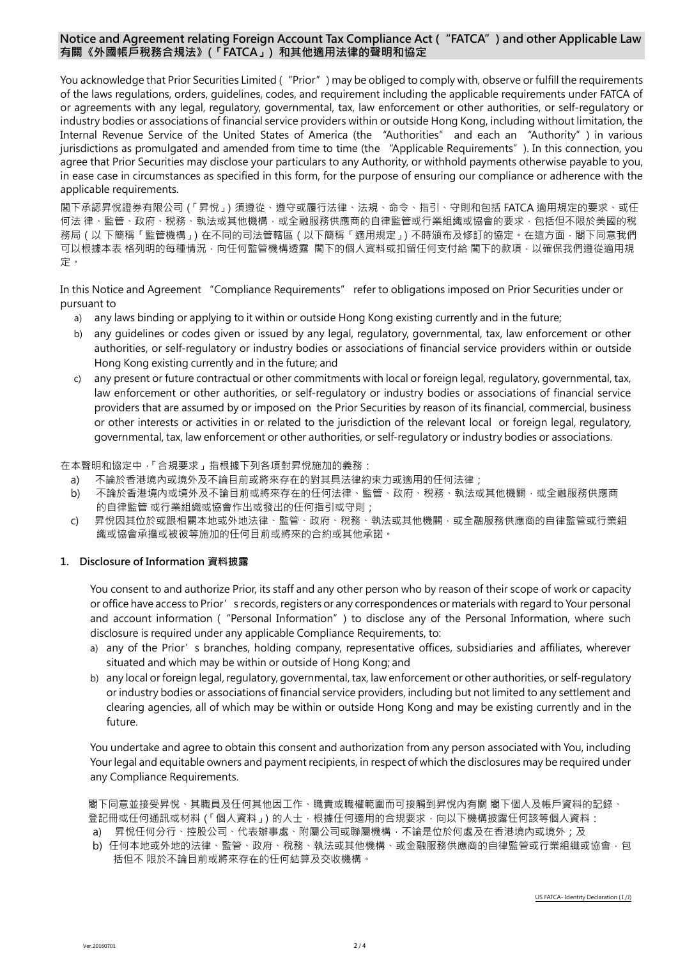# **Notice and Agreement relating Foreign Account Tax Compliance Act ("FATCA") and other Applicable Law 有關《外國帳戶稅務合規法》(「FATCA」) 和其他適用法律的聲明和協定**

You acknowledge that Prior Securities Limited ("Prior") may be obliged to comply with, observe or fulfill the requirements of the laws regulations, orders, guidelines, codes, and requirement including the applicable requirements under FATCA of or agreements with any legal, regulatory, governmental, tax, law enforcement or other authorities, or self-regulatory or industry bodies or associations of financial service providers within or outside Hong Kong, including without limitation, the Internal Revenue Service of the United States of America (the "Authorities" and each an "Authority") in various jurisdictions as promulgated and amended from time to time (the "Applicable Requirements"). In this connection, you agree that Prior Securities may disclose your particulars to any Authority, or withhold payments otherwise payable to you, in ease case in circumstances as specified in this form, for the purpose of ensuring our compliance or adherence with the applicable requirements.

閣下承認昇悅證券有限公司(「昇悅」)須遵從、遵守或履行法律、法規、命令、指引、守則和包括 FATCA 適用規定的要求、或任 何法 律、監管、政府、稅務、執法或其他機構,或全融服務供應商的自律監管或行業組織或協會的要求,包括但不限於美國的稅 務局 ( 以 下簡稱「監管機構 」) 在不同的司法管轄區 ( 以下簡稱「適用規定 」) 不時頒布及修訂的協定。在這方面, 閣下同意我們 可以根據本表 格列明的每種情況,向任何監管機構透露 閣下的個人資料或扣留任何支付給 閣下的款項,以確保我們遵從適用規 定。

In this Notice and Agreement "Compliance Requirements" refer to obligations imposed on Prior Securities under or pursuant to

- a) any laws binding or applying to it within or outside Hong Kong existing currently and in the future;
- b) any guidelines or codes given or issued by any legal, regulatory, governmental, tax, law enforcement or other authorities, or self-regulatory or industry bodies or associations of financial service providers within or outside Hong Kong existing currently and in the future; and
- c) any present or future contractual or other commitments with local or foreign legal, regulatory, governmental, tax, law enforcement or other authorities, or self-regulatory or industry bodies or associations of financial service providers that are assumed by or imposed on the Prior Securities by reason of its financial, commercial, business or other interests or activities in or related to the jurisdiction of the relevant local or foreign legal, regulatory, governmental, tax, law enforcement or other authorities, or self-regulatory or industry bodies or associations.

在本聲明和協定中,「合規要求」指根據下列各項對昇悅施加的義務:

- a) 不論於香港境內或境外及不論目前或將來存在的對其具法律約束力或適用的任何法律;
- b) 不論於香港境內或境外及不論目前或將來存在的任何法律、監管、政府、稅務、執法或其他機關,或全融服務供應商 的自律監管 或行業組織或協會作出或發出的任何指引或守則;
- c) 昇悅因其位於或跟相關本地或外地法律、監管、政府、稅務、執法或其他機關,或全融服務供應商的自律監管或行業組 織或協會承擔或被彼等施加的任何目前或將來的合約或其他承諾。

# **1. Disclosure of Information 資料披露**

You consent to and authorize Prior, its staff and any other person who by reason of their scope of work or capacity or office have access to Prior's records, registers or any correspondences or materials with regard to Your personal and account information ("Personal Information") to disclose any of the Personal Information, where such disclosure is required under any applicable Compliance Requirements, to:

- a) any of the Prior's branches, holding company, representative offices, subsidiaries and affiliates, wherever situated and which may be within or outside of Hong Kong; and
- b) any local or foreign legal, regulatory, governmental, tax, law enforcement or other authorities, or self-regulatory or industry bodies or associations of financial service providers, including but not limited to any settlement and clearing agencies, all of which may be within or outside Hong Kong and may be existing currently and in the future.

You undertake and agree to obtain this consent and authorization from any person associated with You, including Your legal and equitable owners and payment recipients, in respect of which the disclosures may be required under any Compliance Requirements.

閣下同意並接受昇悅、其職員及任何其他因工作、職責或職權範圍而可接觸到昇悅內有關 閣下個人及帳戶資料的記錄、 登記冊或任何通訊或材料 (「個人資料」) 的人士 · 根據任何適用的合規要求 · 向以下機構披露任何該等個人資料 : a) 昇悅任何分行、控股公司、代表辦事處、附屬公司或聯屬機構,不論是位於何處及在香港境內或境外;及

b) 任何本地或外地的法律、監管、政府、稅務、執法或其他機構、或金融服務供應商的自律監管或行業組織或協會,包 括但不 限於不論目前或將來存在的任何結算及交收機構。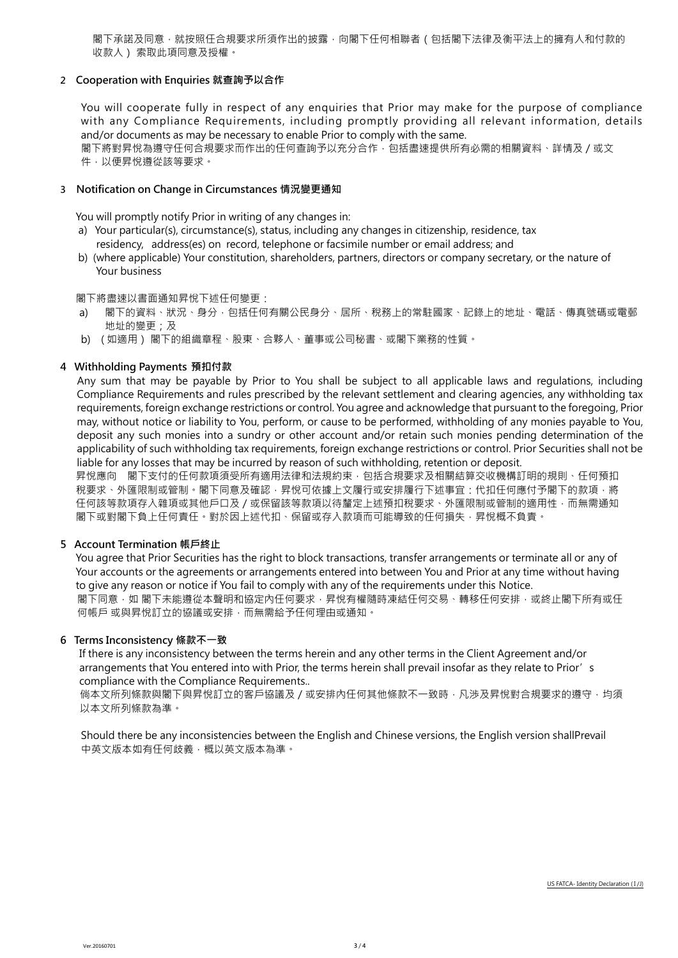閣下承諾及同意,就按照任合規要求所須作出的披露,向閣下任何相聯者(包括閣下法律及衡平法上的擁有人和付款的 收款人) 索取此項同意及授權。

# **2 Cooperation with Enquiries 就查詢予以合作**

 You will cooperate fully in respect of any enquiries that Prior may make for the purpose of compliance with any Compliance Requirements, including promptly providing all relevant information, details and/or documents as may be necessary to enable Prior to comply with the same.

 閣下將對昇悅為遵守任何合規要求而作出的任何查詢予以充分合作,包括盡速提供所有必需的相關資料、詳情及/或文 件,以便昇悅遵從該等要求。

#### **3 Notification on Change in Circumstances 情況變更通知**

You will promptly notify Prior in writing of any changes in:

- a) Your particular(s), circumstance(s), status, including any changes in citizenship, residence, tax residency, address(es) on record, telephone or facsimile number or email address; and
- b) (where applicable) Your constitution, shareholders, partners, directors or company secretary, or the nature of Your business

閣下將盡速以書面通知昇悅下述任何變更:

- a) 閣下的資料、狀況、身分,包括任何有關公民身分、居所、稅務上的常駐國家、記錄上的地址、電話、傳真號碼或電郵 地址的變更;及
- b) ( 如適用) 閣下的組織章程、股東、合夥人、董事或公司秘書、或閣下業務的性質。

# **4 Withholding Payments 預扣付款**

 Any sum that may be payable by Prior to You shall be subject to all applicable laws and regulations, including Compliance Requirements and rules prescribed by the relevant settlement and clearing agencies, any withholding tax requirements, foreign exchange restrictions or control. You agree and acknowledge that pursuant to the foregoing, Prior may, without notice or liability to You, perform, or cause to be performed, withholding of any monies payable to You, deposit any such monies into a sundry or other account and/or retain such monies pending determination of the applicability of such withholding tax requirements, foreign exchange restrictions or control. Prior Securities shall not be liable for any losses that may be incurred by reason of such withholding, retention or deposit.

昇悅應向 閣下支付的任何款項須受所有適用法律和法規約束,包括合規要求及相關結算交收機構訂明的規則、任何預扣 税要求、外匯限制或管制。閣下同意及確認,昇悅可依據上文履行或安排履行下述事宜:代扣任何應付予閣下的款項,將 任何該等款項存入雜項或其他戶口及/或保留該等款項以待釐定上述預扣稅要求、外匯限制或管制的適用性,而無需通知 閣下或對閣下負上任何責任。對於因上述代扣、保留或存入款項而可能導致的任何損失,昇悅概不負責。

# **5 Account Termination 帳戶終止**

You agree that Prior Securities has the right to block transactions, transfer arrangements or terminate all or any of Your accounts or the agreements or arrangements entered into between You and Prior at any time without having to give any reason or notice if You fail to comply with any of the requirements under this Notice. 閣下同意,如 閣下未能遵從本聲明和協定内任何要求,昇悅有權隨時凍結任何交易、轉移任何安排,或終止閣下所有或任 何帳戶 或與昇悅訂立的協議或安排,而無需給予任何理由或通知。

# **6 Terms Inconsistency 條款不一致**

If there is any inconsistency between the terms herein and any other terms in the Client Agreement and/or arrangements that You entered into with Prior, the terms herein shall prevail insofar as they relate to Prior's compliance with the Compliance Requirements..

倘本文所列條款與閣下與昇悅訂立的客戶協議及 / 或安排內任何其他條款不一致時, 凡涉及昇悅對合規要求的遵守, 均須 以本文所列條款為準。

Should there be any inconsistencies between the English and Chinese versions, the English version shallPrevail 中英文版本如有任何歧義,概以英文版本為準。